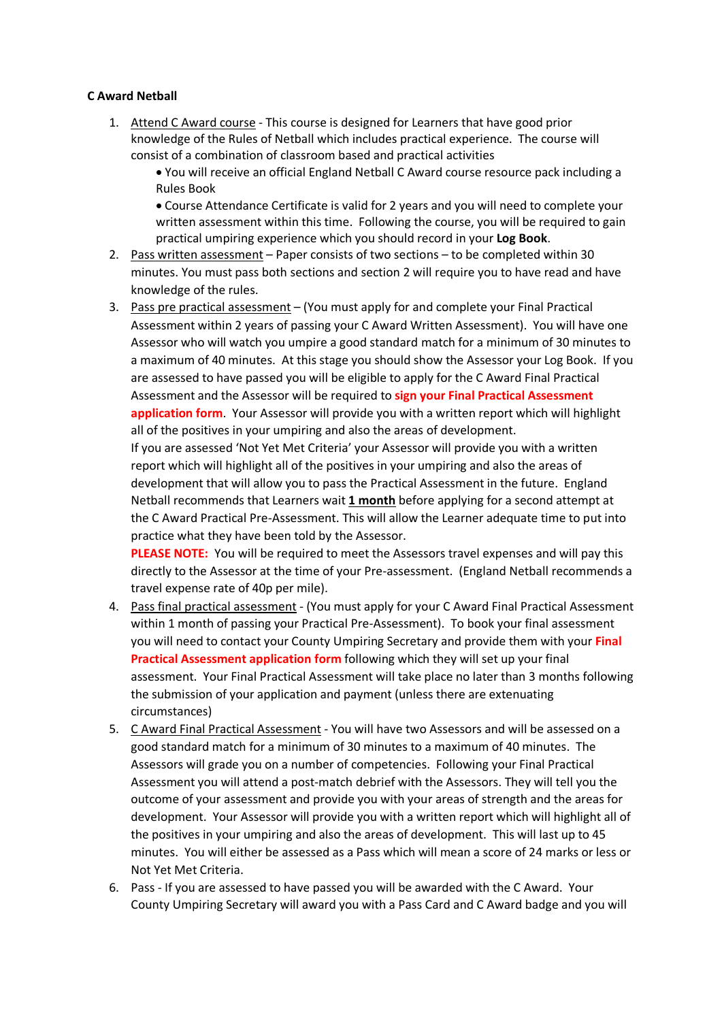## **C Award Netball**

1. Attend C Award course - This course is designed for Learners that have good prior knowledge of the Rules of Netball which includes practical experience. The course will consist of a combination of classroom based and practical activities

• You will receive an official England Netball C Award course resource pack including a Rules Book

• Course Attendance Certificate is valid for 2 years and you will need to complete your written assessment within this time. Following the course, you will be required to gain practical umpiring experience which you should record in your **Log Book**.

- 2. Pass written assessment Paper consists of two sections to be completed within 30 minutes. You must pass both sections and section 2 will require you to have read and have knowledge of the rules.
- 3. Pass pre practical assessment (You must apply for and complete your Final Practical Assessment within 2 years of passing your C Award Written Assessment). You will have one Assessor who will watch you umpire a good standard match for a minimum of 30 minutes to a maximum of 40 minutes. At this stage you should show the Assessor your Log Book. If you are assessed to have passed you will be eligible to apply for the C Award Final Practical Assessment and the Assessor will be required to **sign your Final Practical Assessment application form**. Your Assessor will provide you with a written report which will highlight all of the positives in your umpiring and also the areas of development.

If you are assessed 'Not Yet Met Criteria' your Assessor will provide you with a written report which will highlight all of the positives in your umpiring and also the areas of development that will allow you to pass the Practical Assessment in the future. England Netball recommends that Learners wait **1 month** before applying for a second attempt at the C Award Practical Pre-Assessment. This will allow the Learner adequate time to put into practice what they have been told by the Assessor.

**PLEASE NOTE:** You will be required to meet the Assessors travel expenses and will pay this directly to the Assessor at the time of your Pre-assessment. (England Netball recommends a travel expense rate of 40p per mile).

- 4. Pass final practical assessment (You must apply for your C Award Final Practical Assessment within 1 month of passing your Practical Pre-Assessment). To book your final assessment you will need to contact your County Umpiring Secretary and provide them with your **Final Practical Assessment application form** following which they will set up your final assessment. Your Final Practical Assessment will take place no later than 3 months following the submission of your application and payment (unless there are extenuating circumstances)
- 5. C Award Final Practical Assessment You will have two Assessors and will be assessed on a good standard match for a minimum of 30 minutes to a maximum of 40 minutes. The Assessors will grade you on a number of competencies. Following your Final Practical Assessment you will attend a post-match debrief with the Assessors. They will tell you the outcome of your assessment and provide you with your areas of strength and the areas for development. Your Assessor will provide you with a written report which will highlight all of the positives in your umpiring and also the areas of development. This will last up to 45 minutes. You will either be assessed as a Pass which will mean a score of 24 marks or less or Not Yet Met Criteria.
- 6. Pass If you are assessed to have passed you will be awarded with the C Award. Your County Umpiring Secretary will award you with a Pass Card and C Award badge and you will